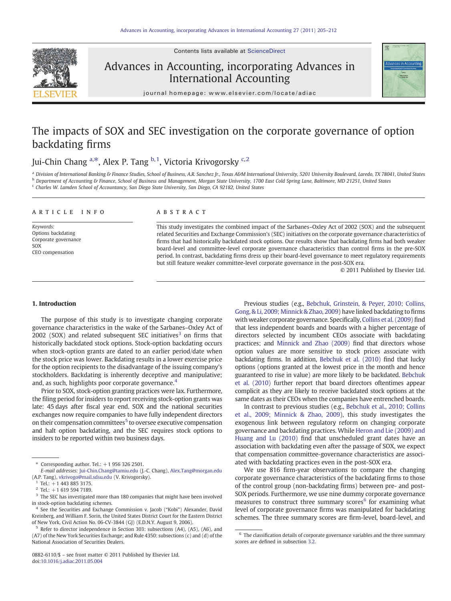

#### Contents lists available at [ScienceDirect](http://www.sciencedirect.com/science/journal/08826110)

## Advances in Accounting, incorporating Advances in International Accounting



journal homepage: www.elsevier.com/locate/adiac

# The impacts of SOX and SEC investigation on the corporate governance of option backdating firms

### Jui-Chin Chang <sup>a,\*</sup>, Alex P. Tang <sup>b, 1</sup>, Victoria Krivogorsky <sup>c, 2</sup>

a Division of International Banking & Finance Studies, School of Business, A.R. Sanchez Jr., Texas A&M International University, 5201 University Boulevard, Laredo, TX 78041, United States **b** Department of Accounting & Finance, School of Business and Management, Morgan State University, 1700 East Cold Spring Lane, Baltimore, MD 21251, United States <sup>c</sup> Charles W. Lamden School of Accountancy, San Diego State University, San Diego, CA 92182, United States

#### article info abstract

Keywords: Options backdating Corporate governance SOX CEO compensation

This study investigates the combined impact of the Sarbanes–Oxley Act of 2002 (SOX) and the subsequent related Securities and Exchange Commission's (SEC) initiatives on the corporate governance characteristics of firms that had historically backdated stock options. Our results show that backdating firms had both weaker board-level and committee-level corporate governance characteristics than control firms in the pre-SOX period. In contrast, backdating firms dress up their board-level governance to meet regulatory requirements but still feature weaker committee-level corporate governance in the post-SOX era.

© 2011 Published by Elsevier Ltd.

### 1. Introduction

The purpose of this study is to investigate changing corporate governance characteristics in the wake of the Sarbanes–Oxley Act of  $2002$  (SOX) and related subsequent SEC initiatives<sup>3</sup> on firms that historically backdated stock options. Stock-option backdating occurs when stock-option grants are dated to an earlier period/date when the stock price was lower. Backdating results in a lower exercise price for the option recipients to the disadvantage of the issuing company's stockholders. Backdating is inherently deceptive and manipulative; and, as such, highlights poor corporate governance.<sup>4</sup>

Prior to SOX, stock-option granting practices were lax. Furthermore, the filing period for insiders to report receiving stock-option grants was late: 45 days after fiscal year end. SOX and the national securities exchanges now require companies to have fully independent directors on their compensation committees<sup>5</sup> to oversee executive compensation and halt option backdating, and the SEC requires stock options to insiders to be reported within two business days.

Previous studies (e.g., [Bebchuk, Grinstein, & Peyer, 2010; Collins,](#page--1-0) [Gong, & Li, 2009; Minnick & Zhao, 2009\)](#page--1-0) have linked backdating to firms with weaker corporate governance. Specifically, [Collins et al. \(2009\)](#page--1-0) find that less independent boards and boards with a higher percentage of directors selected by incumbent CEOs associate with backdating practices; and [Minnick and Zhao \(2009\)](#page--1-0) find that directors whose option values are more sensitive to stock prices associate with backdating firms. In addition, [Bebchuk et al. \(2010\)](#page--1-0) find that lucky options (options granted at the lowest price in the month and hence guaranteed to rise in value) are more likely to be backdated. [Bebchuk](#page--1-0) [et al. \(2010\)](#page--1-0) further report that board directors oftentimes appear complicit as they are likely to receive backdated stock options at the same dates as their CEOs when the companies have entrenched boards.

In contrast to previous studies (e.g., [Bebchuk et al., 2010; Collins](#page--1-0) [et al., 2009; Minnick & Zhao, 2009](#page--1-0)), this study investigates the exogenous link between regulatory reform on changing corporate governance and backdating practices. While [Heron and Lie \(2009\) and](#page--1-0) [Huang and Lu \(2010\)](#page--1-0) find that unscheduled grant dates have an association with backdating even after the passage of SOX, we expect that compensation committee-governance characteristics are associated with backdating practices even in the post-SOX era.

We use 816 firm-year observations to compare the changing corporate governance characteristics of the backdating firms to those of the control group (non-backdating firms) between pre- and post-SOX periods. Furthermore, we use nine dummy corporate governance measures to construct three summary scores $6$  for examining what level of corporate governance firms was manipulated for backdating schemes. The three summary scores are firm-level, board-level, and

Corresponding author. Tel.:  $+1$  956 326 2501.

E-mail addresses: [Jui-Chin.Chang@tamiu.edu](mailto:Jui-Chin.Chang@tamiu.edu) (J.-C. Chang), [Alex.Tang@morgan.edu](mailto:Alex.Tang@morgan.edu) (A.P. Tang), [vkrivogo@mail.sdsu.edu](mailto:vkrivogo@mail.sdsu.edu) (V. Krivogorsky).

Tel.:  $+1$  443 885 3175.

 $2$  Tel.: +1 619 594 7189.

 $3$  The SEC has investigated more than 180 companies that might have been involved in stock-option backdating schemes.

<sup>4</sup> See the Securities and Exchange Commission v. Jacob ("Kobi") Alexander, David Kreinberg, and William F. Sorin, the United States District Court for the Eastern District of New York, Civil Action No. 06-CV-3844 (GJ) (E.D.N.Y. August 9, 2006).

<sup>5</sup> Refer to director independence in Section 303: subsections (A4), (A5), (A6), and (A7) of the New York Securities Exchange; and Rule 4350: subsections (c) and (d) of the National Association of Securities Dealers.

 $6$  The classification details of corporate governance variables and the three summary scores are defined in subsection [3.2.](#page--1-0)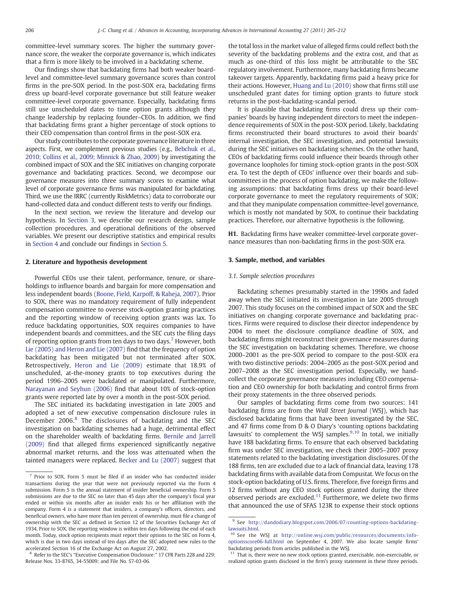committee-level summary scores. The higher the summary governance score, the weaker the corporate governance is, which indicates that a firm is more likely to be involved in a backdating scheme.

Our findings show that backdating firms had both weaker boardlevel and committee-level summary governance scores than control firms in the pre-SOX period. In the post-SOX era, backdating firms dress up board-level corporate governance but still feature weaker committee-level corporate governance. Especially, backdating firms still use unscheduled dates to time option grants although they change leadership by replacing founder–CEOs. In addition, we find that backdating firms grant a higher percentage of stock options to their CEO compensation than control firms in the post-SOX era.

Our study contributes to the corporate governance literature in three aspects. First, we complement previous studies (e.g., [Bebchuk et al.,](#page--1-0) [2010; Collins et al., 2009; Minnick & Zhao, 2009](#page--1-0)) by investigating the combined impact of SOX and the SEC initiatives on changing corporate governance and backdating practices. Second, we decompose our governance measures into three summary scores to examine what level of corporate governance firms was manipulated for backdating. Third, we use the IRRC (currently RiskMetrics) data to corroborate our hand-collected data and conduct different tests to verify our findings.

In the next section, we review the literature and develop our hypothesis. In Section 3, we describe our research design, sample collection procedures, and operational definitions of the observed variables. We present our descriptive statistics and empirical results in [Section 4](#page--1-0) and conclude our findings in [Section 5.](#page--1-0)

#### 2. Literature and hypothesis development

Powerful CEOs use their talent, performance, tenure, or shareholdings to influence boards and bargain for more compensation and less independent boards ([Boone, Field, Karpoff, & Raheja, 2007\)](#page--1-0). Prior to SOX, there was no mandatory requirement of fully independent compensation committee to oversee stock-option granting practices and the reporting window of receiving option grants was lax. To reduce backdating opportunities, SOX requires companies to have independent boards and committees, and the SEC cuts the filing days of reporting option grants from ten days to two days.<sup>7</sup> However, both [Lie \(2005\) and Heron and Lie \(2007\)](#page--1-0) find that the frequency of option backdating has been mitigated but not terminated after SOX. Retrospectively, [Heron and Lie \(2009\)](#page--1-0) estimate that 18.9% of unscheduled, at-the-money grants to top executives during the period 1996–2005 were backdated or manipulated. Furthermore, [Narayanan and Seyhun \(2006\)](#page--1-0) find that about 10% of stock-option grants were reported late by over a month in the post-SOX period.

The SEC initiated its backdating investigation in late 2005 and adopted a set of new executive compensation disclosure rules in December 2006.<sup>8</sup> The disclosures of backdating and the SEC investigation on backdating schemes had a huge, detrimental effect on the shareholder wealth of backdating firms. [Bernile and Jarrell](#page--1-0) [\(2009\)](#page--1-0) find that alleged firms experienced significantly negative abnormal market returns, and the loss was attenuated when the tainted managers were replaced. [Becker and Lu \(2007\)](#page--1-0) suggest that the total loss in the market value of alleged firms could reflect both the severity of the backdating problems and the extra cost, and that as much as one-third of this loss might be attributable to the SEC regulatory involvement. Furthermore, many backdating firms became takeover targets. Apparently, backdating firms paid a heavy price for their actions. However, [Huang and Lu \(2010\)](#page--1-0) show that firms still use unscheduled grant dates for timing option grants to future stock returns in the post-backdating-scandal period.

It is plausible that backdating firms could dress up their companies' boards by having independent directors to meet the independence requirements of SOX in the post-SOX period. Likely, backdating firms reconstructed their board structures to avoid their boards' internal investigation, the SEC investigation, and potential lawsuits during the SEC initiatives on backdating schemes. On the other hand, CEOs of backdating firms could influence their boards through other governance loopholes for timing stock-option grants in the post-SOX era. To test the depth of CEOs' influence over their boards and subcommittees in the process of option backdating, we make the following assumptions: that backdating firms dress up their board-level corporate governance to meet the regulatory requirements of SOX; and that they manipulate compensation committee-level governance, which is mostly not mandated by SOX, to continue their backdating practices. Therefore, our alternative hypothesis is the following.

H1. Backdating firms have weaker committee-level corporate governance measures than non-backdating firms in the post-SOX era.

#### 3. Sample, method, and variables

#### 3.1. Sample selection procedures

Backdating schemes presumably started in the 1990s and faded away when the SEC initiated its investigation in late 2005 through 2007. This study focuses on the combined impact of SOX and the SEC initiatives on changing corporate governance and backdating practices. Firms were required to disclose their director independence by 2004 to meet the disclosure compliance deadline of SOX, and backdating firms might reconstruct their governance measures during the SEC investigation on backdating schemes. Therefore, we choose 2000–2001 as the pre-SOX period to compare to the post-SOX era with two distinctive periods: 2004–2005 as the post-SOX period and 2007–2008 as the SEC investigation period. Especially, we handcollect the corporate governance measures including CEO compensation and CEO ownership for both backdating and control firms from their proxy statements in the three observed periods.

Our samples of backdating firms come from two sources: 141 backdating firms are from the Wall Street Journal (WSJ), which has disclosed backdating firms that have been investigated by the SEC, and 47 firms come from D & O Diary's 'counting options backdating lawsuits' to complement the WSJ samples. $9,10$  In total, we initially have 188 backdating firms. To ensure that each observed backdating firm was under SEC investigation, we check their 2005–2007 proxy statements related to the backdating investigation disclosures. Of the 188 firms, ten are excluded due to a lack of financial data, leaving 178 backdating firms with available data from Compustat. We focus on the stock-option backdating of U.S. firms. Therefore, five foreign firms and 12 firms without any CEO stock options granted during the three observed periods are excluded. $11$  Furthermore, we delete two firms that announced the use of SFAS 123R to expense their stock options

<sup>7</sup> Prior to SOX, Form 5 must be filed if an insider who has conducted insider transactions during the year that were not previously reported via the Form 4 submission. Form 5 is the annual statement of insider beneficial ownership. Form 5 submissions are due to the SEC no later than 45 days after the company's fiscal year ended or within six months after an insider ends his or her affiliation with the company. Form 4 is a statement that insiders, a company's officers, directors, and beneficial owners, who have more than ten percent of ownership, must file a change of ownership with the SEC as defined in Section 12 of the Securities Exchange Act of 1934. Prior to SOX, the reporting window is within ten days following the end of each month. Today, stock option recipients must report their options to the SEC on Form 4, which is due in two days instead of ten days after the SEC adopted new rules to the accelerated Section 16 of the Exchange Act on August 27, 2002.

<sup>8</sup> Refer to the SEC's "Executive Compensation Disclosure:" 17 CFR Parts 228 and 229; Release Nos. 33-8765, 34-55009; and File No. S7-03-06.

<sup>9</sup> See [http://dandodiary.blogspot.com/2006/07/counting-options-backdating](http://dandodiary.blogspot.com/2006/07/counting-options-backdating-lawsuits.html)[lawsuits.html](http://dandodiary.blogspot.com/2006/07/counting-options-backdating-lawsuits.html).

<sup>&</sup>lt;sup>10</sup> See the WSJ at [http://online.wsj.com/public/resources/documents/info](http://online.wsj.com/public/resources/documents/info-optionsscore06-full.html)[optionsscore06-full.html](http://online.wsj.com/public/resources/documents/info-optionsscore06-full.html) on September 4, 2007. We also locate sample firms' backdating periods from articles published in the WSJ.

<sup>&</sup>lt;sup>11</sup> That is, there were no new stock options granted, exercisable, non-exercisable, or realized option grants disclosed in the firm's proxy statement in these three periods.